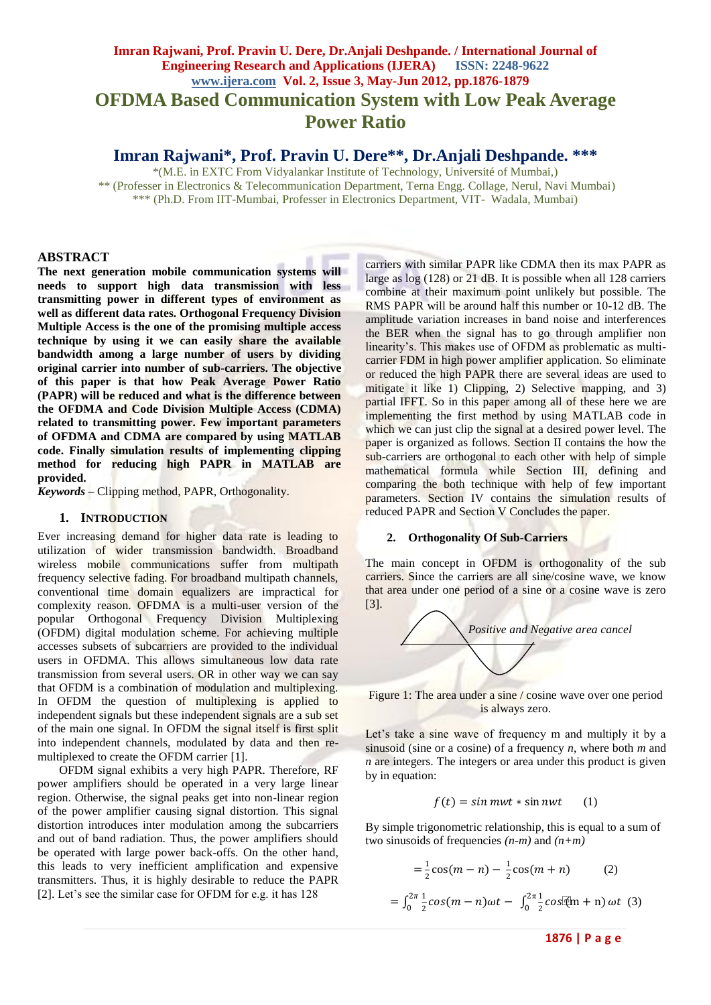# **Imran Rajwani, Prof. Pravin U. Dere, Dr.Anjali Deshpande. / International Journal of Engineering Research and Applications (IJERA) ISSN: 2248-9622 www.ijera.com Vol. 2, Issue 3, May-Jun 2012, pp.1876-1879 OFDMA Based Communication System with Low Peak Average Power Ratio**

**Imran Rajwani\*, Prof. Pravin U. Dere\*\*, Dr.Anjali Deshpande. \*\*\***

\*(M.E. in EXTC From Vidyalankar Institute of Technology, Université of Mumbai,) \*\* (Professer in Electronics & Telecommunication Department, Terna Engg. Collage, Nerul, Navi Mumbai) \*\*\* (Ph.D. From IIT-Mumbai, Professer in Electronics Department, VIT- Wadala, Mumbai)

## **ABSTRACT**

**The next generation mobile communication systems will needs to support high data transmission with less transmitting power in different types of environment as well as different data rates. Orthogonal Frequency Division Multiple Access is the one of the promising multiple access technique by using it we can easily share the available bandwidth among a large number of users by dividing original carrier into number of sub-carriers. The objective of this paper is that how Peak Average Power Ratio (PAPR) will be reduced and what is the difference between the OFDMA and Code Division Multiple Access (CDMA) related to transmitting power. Few important parameters of OFDMA and CDMA are compared by using MATLAB code. Finally simulation results of implementing clipping method for reducing high PAPR in MATLAB are provided.** 

*Keywords* **–** Clipping method, PAPR, Orthogonality.

#### **1. INTRODUCTION**

Ever increasing demand for higher data rate is leading to utilization of wider transmission bandwidth. Broadband wireless mobile communications suffer from multipath frequency selective fading. For broadband multipath channels, conventional time domain equalizers are impractical for complexity reason. OFDMA is a multi-user version of the popular Orthogonal Frequency Division Multiplexing (OFDM) digital modulation scheme. For achieving multiple accesses subsets of subcarriers are provided to the individual users in OFDMA. This allows simultaneous low data rate transmission from several users. OR in other way we can say that OFDM is a combination of modulation and multiplexing. In OFDM the question of multiplexing is applied to independent signals but these independent signals are a sub set of the main one signal. In OFDM the signal itself is first split into independent channels, modulated by data and then remultiplexed to create the OFDM carrier [1].

OFDM signal exhibits a very high PAPR*.* Therefore, RF power amplifiers should be operated in a very large linear region. Otherwise, the signal peaks get into non-linear region of the power amplifier causing signal distortion. This signal distortion introduces inter modulation among the subcarriers and out of band radiation. Thus, the power amplifiers should be operated with large power back-offs. On the other hand, this leads to very inefficient amplification and expensive transmitters. Thus, it is highly desirable to reduce the PAPR [2]. Let's see the similar case for OFDM for e.g. it has 128

carriers with similar PAPR like CDMA then its max PAPR as large as log (128) or 21 dB. It is possible when all 128 carriers combine at their maximum point unlikely but possible. The RMS PAPR will be around half this number or 10-12 dB. The amplitude variation increases in band noise and interferences the BER when the signal has to go through amplifier non linearity"s. This makes use of OFDM as problematic as multicarrier FDM in high power amplifier application. So eliminate or reduced the high PAPR there are several ideas are used to mitigate it like 1) Clipping, 2) Selective mapping, and 3) partial IFFT. So in this paper among all of these here we are implementing the first method by using MATLAB code in which we can just clip the signal at a desired power level. The paper is organized as follows. Section II contains the how the sub-carriers are orthogonal to each other with help of simple mathematical formula while Section III, defining and comparing the both technique with help of few important parameters. Section IV contains the simulation results of reduced PAPR and Section V Concludes the paper.

#### **2. Orthogonality Of Sub-Carriers**

The main concept in OFDM is orthogonality of the sub carriers. Since the carriers are all sine/cosine wave, we know that area under one period of a sine or a cosine wave is zero [3].



Figure 1: The area under a sine / cosine wave over one period is always zero.

Let's take a sine wave of frequency m and multiply it by a sinusoid (sine or a cosine) of a frequency *n*, where both *m* and *n* are integers. The integers or area under this product is given by in equation:

$$
f(t) = \sin mwt * \sin nwt \qquad (1)
$$

By simple trigonometric relationship, this is equal to a sum of two sinusoids of frequencies *(n-m)* and *(n+m)*

$$
= \frac{1}{2}\cos(m - n) - \frac{1}{2}\cos(m + n) \qquad (2)
$$
  

$$
\int_0^{2\pi} \frac{1}{2}\cos(m - n)\omega t - \int_0^{2\pi} \frac{1}{2}\cos(n + n)\omega t \qquad (3)
$$

=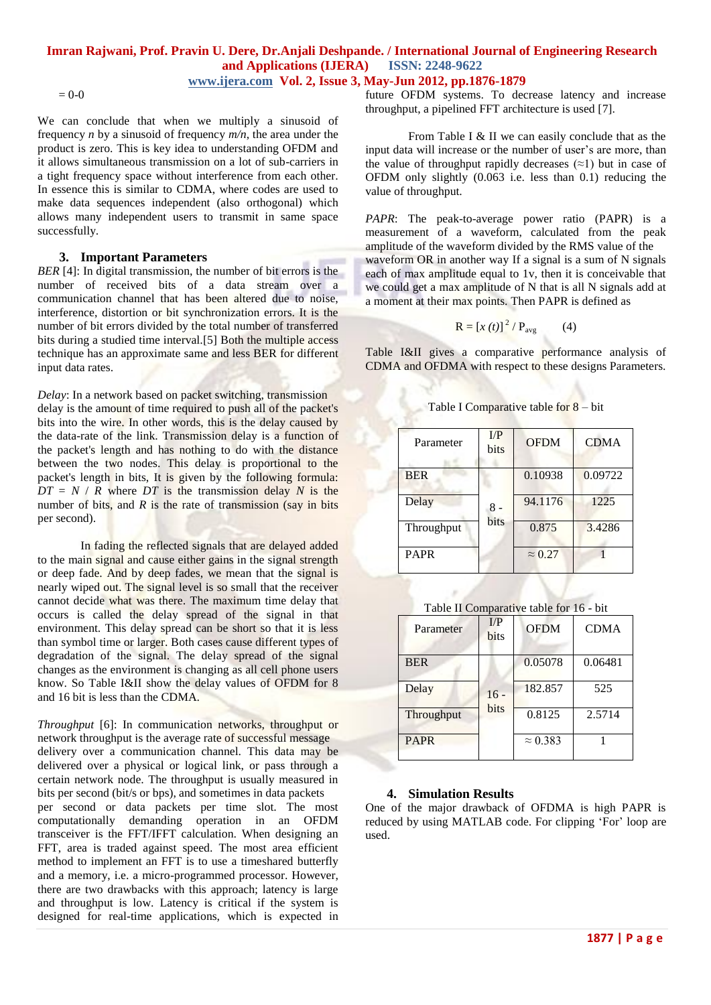## **Imran Rajwani, Prof. Pravin U. Dere, Dr.Anjali Deshpande. / International Journal of Engineering Research and Applications (IJERA) ISSN: 2248-9622 www.ijera.com Vol. 2, Issue 3, May-Jun 2012, pp.1876-1879**

 $= 0-0$ 

We can conclude that when we multiply a sinusoid of frequency *n* by a sinusoid of frequency *m/n*, the area under the product is zero. This is key idea to understanding OFDM and it allows simultaneous transmission on a lot of sub-carriers in a tight frequency space without interference from each other. In essence this is similar to CDMA, where codes are used to make data sequences independent (also orthogonal) which allows many independent users to transmit in same space successfully.

## **3. Important Parameters**

*BER* [4]: In digital transmission, the number of bit errors is the number of received bits of a data stream over a communication channel that has been altered due to noise, interference, distortion or bit synchronization errors. It is the number of bit errors divided by the total number of transferred bits during a studied time interval.[5] Both the multiple access technique has an approximate same and less BER for different input data rates.

*Delay*: In a network based on packet switching, transmission delay is the amount of time required to push all of the packet's bits into the wire. In other words, this is the delay caused by the data-rate of the link. Transmission delay is a function of the packet's length and has nothing to do with the distance between the two nodes. This delay is proportional to the packet's length in bits, It is given by the following formula:  $DT = N / R$  where *DT* is the transmission delay *N* is the number of bits, and *R* is the rate of transmission (say in bits) per second).

In fading the reflected signals that are delayed added to the main signal and cause either gains in the signal strength or deep fade. And by deep fades, we mean that the signal is nearly wiped out. The signal level is so small that the receiver cannot decide what was there. The maximum time delay that occurs is called the delay spread of the signal in that environment. This delay spread can be short so that it is less than symbol time or larger. Both cases cause different types of degradation of the signal. The delay spread of the signal changes as the environment is changing as all cell phone users know. So Table I&II show the delay values of OFDM for 8 and 16 bit is less than the CDMA.

*Throughput* [6]: In communication networks, throughput or network throughput is the average rate of successful message delivery over a communication channel. This data may be delivered over a physical or logical link, or pass through a certain network node. The throughput is usually measured in bits per second (bit/s or bps), and sometimes in data packets per second or data packets per time slot. The most computationally demanding operation in an OFDM transceiver is the FFT/IFFT calculation. When designing an FFT, area is traded against speed. The most area efficient method to implement an FFT is to use a timeshared butterfly and a memory, i.e. a micro-programmed processor. However, there are two drawbacks with this approach; latency is large and throughput is low. Latency is critical if the system is designed for real-time applications, which is expected in future OFDM systems. To decrease latency and increase throughput, a pipelined FFT architecture is used [7].

From Table I & II we can easily conclude that as the input data will increase or the number of user's are more, than the value of throughput rapidly decreases  $(\approx 1)$  but in case of OFDM only slightly (0.063 i.e. less than 0.1) reducing the value of throughput.

*PAPR*: The peak-to-average power ratio (PAPR) is a measurement of a waveform, calculated from the peak amplitude of the waveform divided by the RMS value of the waveform OR in another way If a signal is a sum of N signals each of max amplitude equal to 1v, then it is conceivable that we could get a max amplitude of N that is all N signals add at a moment at their max points. Then PAPR is defined as

$$
\mathbf{R} = \left[ x(t) \right]^2 / \mathbf{P}_{\text{avg}} \tag{4}
$$

Table I&II gives a comparative performance analysis of CDMA and OFDMA with respect to these designs Parameters.

| Parameter   | $\overline{LP}$<br>bits | <b>OFDM</b>    | <b>CDMA</b> |
|-------------|-------------------------|----------------|-------------|
| <b>BER</b>  | $8 -$<br>bits           | 0.10938        | 0.09722     |
| Delay       |                         | 94.1176        | 1225        |
| Throughput  |                         | 0.875          | 3.4286      |
| <b>PAPR</b> |                         | $\approx 0.27$ |             |

Table I Comparative table for 8 – bit

Table II Comparative table for 16 - bit

| Parameter   | I/P<br>bits    | <b>OFDM</b>     | <b>CDMA</b> |
|-------------|----------------|-----------------|-------------|
| <b>BER</b>  |                | 0.05078         | 0.06481     |
| Delay       | $16 -$<br>bits | 182.857         | 525         |
| Throughput  |                | 0.8125          | 2.5714      |
| <b>PAPR</b> |                | $\approx 0.383$ |             |

## **4. Simulation Results**

One of the major drawback of OFDMA is high PAPR is reduced by using MATLAB code. For clipping 'For' loop are used.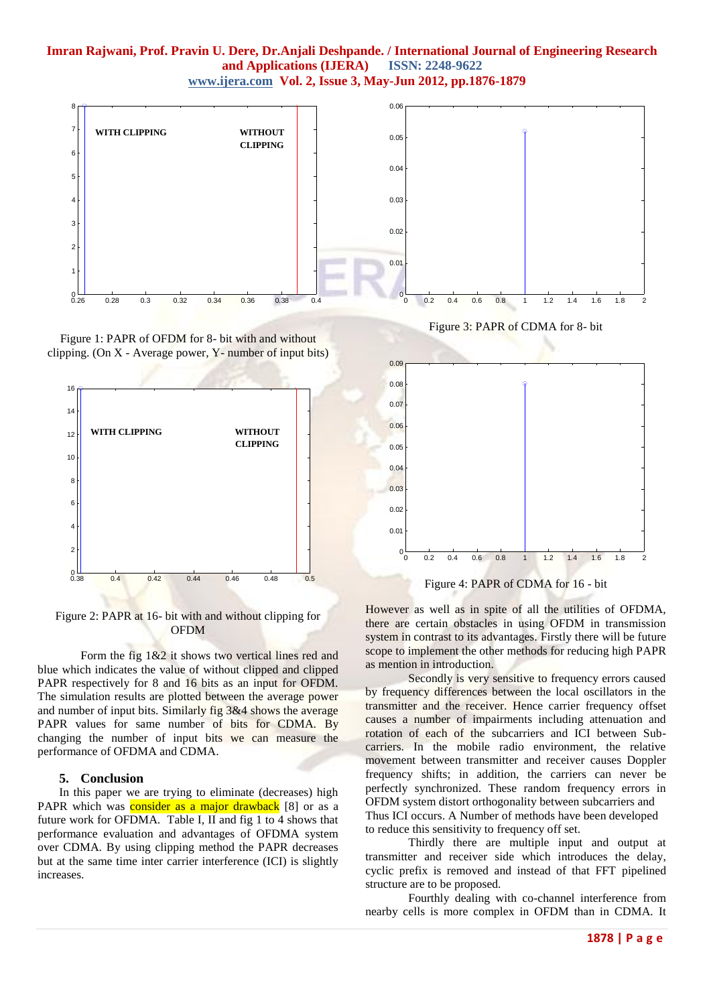## **Imran Rajwani, Prof. Pravin U. Dere, Dr.Anjali Deshpande. / International Journal of Engineering Research and Applications (IJERA) www.ijera.com Vol. 2, Issue 3, May-Jun 2012, pp.1876-1879**



Figure 1: PAPR of OFDM for 8- bit with and without clipping. (On  $X$  - Average power,  $Y$ - number of input bits)



Figure 2: PAPR at 16- bit with and without clipping for OFDM

Form the fig  $1\&2$  it shows two vertical lines red and blue which indicates the value of without clipped and clipped PAPR respectively for 8 and 16 bits as an input for OFDM. The simulation results are plotted between the average power and number of input bits. Similarly fig 3&4 shows the average PAPR values for same number of bits for CDMA. By changing the number of input bits we can measure the performance of OFDMA and CDMA.

## **5. Conclusion**

In this paper we are trying to eliminate (decreases) high PAPR which was **consider as a major drawback** [8] or as a future work for OFDMA. Table I, II and fig 1 to 4 shows that performance evaluation and advantages of OFDMA system over CDMA. By using clipping method the PAPR decreases but at the same time inter carrier interference (ICI) is slightly increases.

Figure 3: PAPR of CDMA for 8- bit



Figure 4: PAPR of CDMA for 16 - bit

However as well as in spite of all the utilities of OFDMA, there are certain obstacles in using OFDM in transmission system in contrast to its advantages. Firstly there will be future scope to implement the other methods for reducing high PAPR as mention in introduction.

Secondly is very sensitive to frequency errors caused by frequency differences between the local oscillators in the transmitter and the receiver. Hence carrier frequency offset causes a number of impairments including attenuation and rotation of each of the subcarriers and ICI between Subcarriers. In the mobile radio environment, the relative movement between transmitter and receiver causes Doppler frequency shifts; in addition, the carriers can never be perfectly synchronized. These random frequency errors in OFDM system distort orthogonality between subcarriers and Thus ICI occurs. A Number of methods have been developed to reduce this sensitivity to frequency off set.

Thirdly there are multiple input and output at transmitter and receiver side which introduces the delay, cyclic prefix is removed and instead of that FFT pipelined structure are to be proposed.

Fourthly dealing with co-channel interference from nearby cells is more complex in OFDM than in CDMA. It